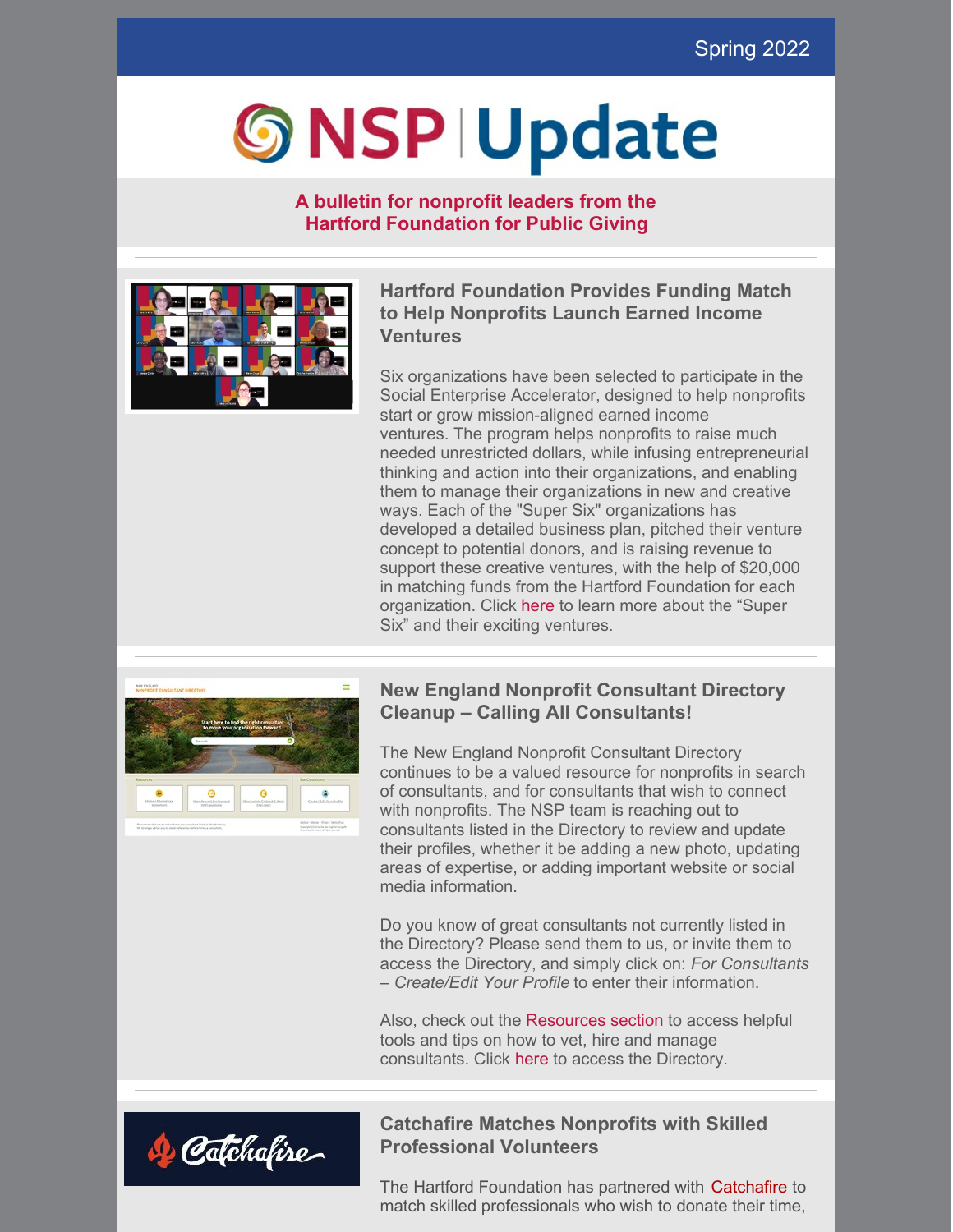# **GNSPIUpdate**

#### **A bulletin for nonprofit leaders from the Hartford Foundation for Public Giving**



#### **Hartford Foundation Provides Funding Match to Help Nonprofits Launch Earned Income Ventures**

Six organizations have been selected to participate in the Social Enterprise Accelerator, designed to help nonprofits start or grow mission-aligned earned income ventures. The program helps nonprofits to raise much needed unrestricted dollars, while infusing entrepreneurial thinking and action into their organizations, and enabling them to manage their organizations in new and creative ways. Each of the "Super Six" organizations has developed a detailed business plan, pitched their venture concept to potential donors, and is raising revenue to support these creative ventures, with the help of \$20,000 in matching funds from the Hartford Foundation for each organization. Click [here](https://www.hfpg.org/what-we-do/new-and-noteworthy/hartford-foundation-program-boosts-nonprofits-earned-income-potential) to learn more about the "Super Six" and their exciting ventures.



#### **New England Nonprofit Consultant Directory Cleanup – Calling All Consultants!**

The New England Nonprofit Consultant Directory continues to be a valued resource for nonprofits in search of consultants, and for consultants that wish to connect with nonprofits. The NSP team is reaching out to consultants listed in the Directory to review and update their profiles, whether it be adding a new photo, updating areas of expertise, or adding important website or social media information.

Do you know of great consultants not currently listed in the Directory? Please send them to us, or invite them to access the Directory, and simply click on: *For Consultants – Create/Edit Your Profile* to enter their information.

Also, check out the [Resources](https://www.neconsultant.org/resources) section to access helpful tools and tips on how to vet, hire and manage consultants. Click [here](https://www.neconsultant.org/) to access the Directory.



#### **Catchafire Matches Nonprofits with Skilled Professional Volunteers**

The Hartford Foundation has partnered with **[Catchafire](https://r20.rs6.net/tn.jsp?f=0013-WGp_UISpXZ6OBdOr53Myw6AhFqPPf5u2UCIVS46JY8cwB3y3IVWCksDOudWk2NsdiuBWztlQKSaeelftd6SbYMsEUn8XBT4uMED3qVoOQoM9cd5s_Uzyb3-gRlmlDqDZDbWLxPmq0vVbC4UUXLbg==&c=15S3dzvWNg2qKcBw3CZb86CAS5aYR4az-jR9I2lihC12Yxhxo_WpuQ==&ch=I7oiM5umH1nfJUO_-xppSzOCeXQ4GSlpLDUgWU7BAiIGUn10I1cwvQ==)** to match skilled professionals who wish to donate their time,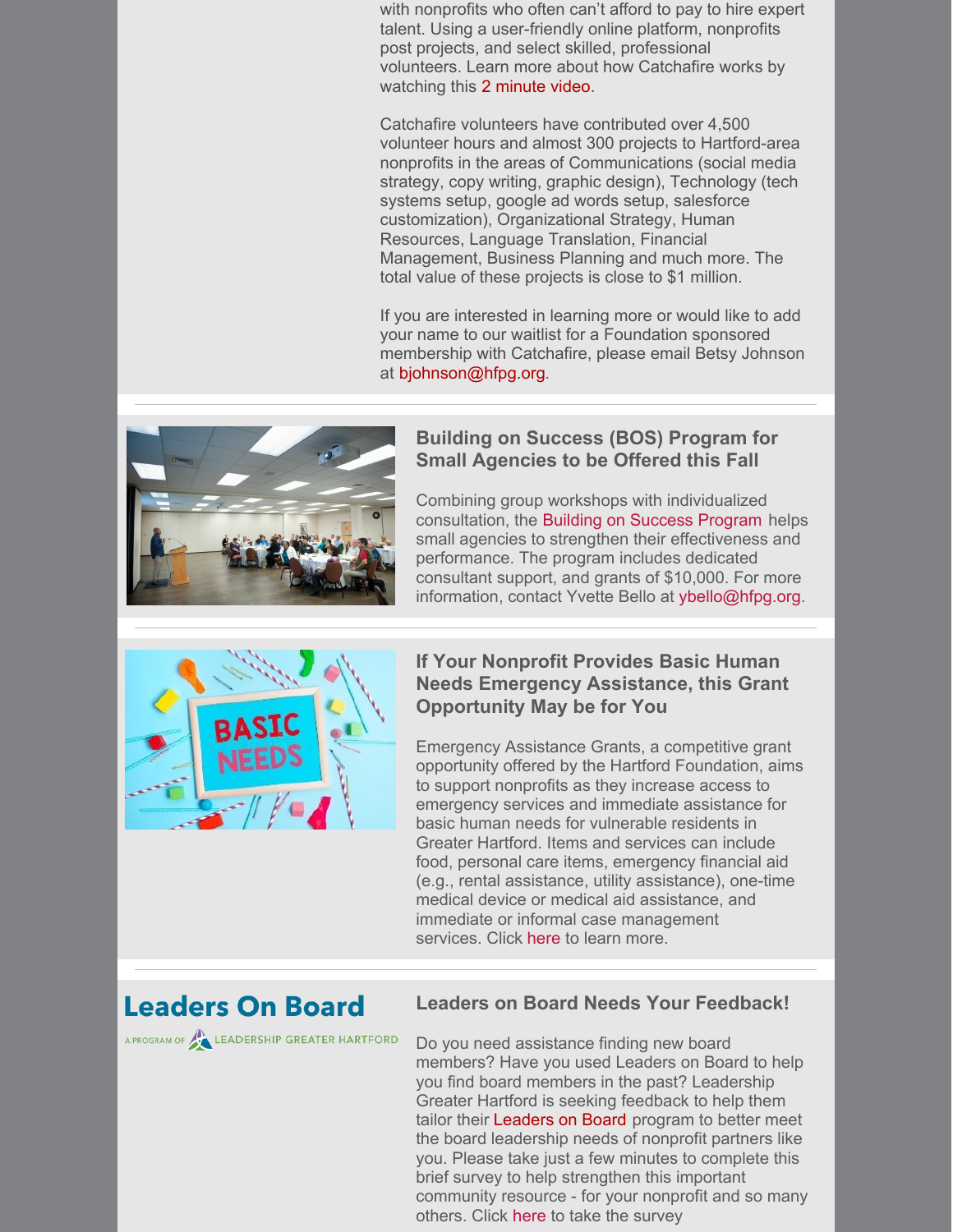with nonprofits who often can't afford to pay to hire expert talent. Using a user-friendly online platform, nonprofits post projects, and select skilled, professional volunteers. Learn more about how Catchafire works by watching this 2 [minute](https://vimeo.com/462743914) video.

Catchafire volunteers have contributed over 4,500 volunteer hours and almost 300 projects to Hartford-area nonprofits in the areas of Communications (social media strategy, copy writing, graphic design), Technology (tech systems setup, google ad words setup, salesforce customization), Organizational Strategy, Human Resources, Language Translation, Financial Management, Business Planning and much more. The total value of these projects is close to \$1 million.

If you are interested in learning more or would like to add your name to our waitlist for a Foundation sponsored membership with Catchafire, please email Betsy Johnson at [bjohnson@hfpg.org](mailto:bjohnson@hfpg.org).



#### **Building on Success (BOS) Program for Small Agencies to be Offered this Fall**

Combining group workshops with individualized consultation, the Building on Success [Program](https://www.hfpgnonprofitsupportprogram.org/index.php/what-we-offer/workshops/training-series) helps small agencies to strengthen their effectiveness and performance. The program includes dedicated consultant support, and grants of \$10,000. For more information, contact Yvette Bello at [ybello@hfpg.org](mailto:ybello@hfpg.org).



#### **If Your Nonprofit Provides Basic Human Needs Emergency Assistance, this Grant Opportunity May be for You**

Emergency Assistance Grants, a competitive grant opportunity offered by the Hartford Foundation, aims to support nonprofits as they increase access to emergency services and immediate assistance for basic human needs for vulnerable residents in Greater Hartford. Items and services can include food, personal care items, emergency financial aid (e.g., rental assistance, utility assistance), one-time medical device or medical aid assistance, and immediate or informal case management services. Click [here](https://www.hfpg.org/nonprofits/current-grant-opportunities) to learn more.

## **Leaders On Board**

A PROGRAM OF LEADERSHIP GREATER HARTFORD

#### **Leaders on Board Needs Your Feedback!**

Do you need assistance finding new board members? Have you used Leaders on Board to help you find board members in the past? Leadership Greater Hartford is seeking feedback to help them tailor their [Leaders](https://leadershipgh.org/leaders-on-board/) on Board program to better meet the board leadership needs of nonprofit partners like you. Please take just a few minutes to complete this brief survey to help strengthen this important community resource - for your nonprofit and so many others. Click [here](https://www.surveymonkey.com/r/QWZYV5R) to take the survey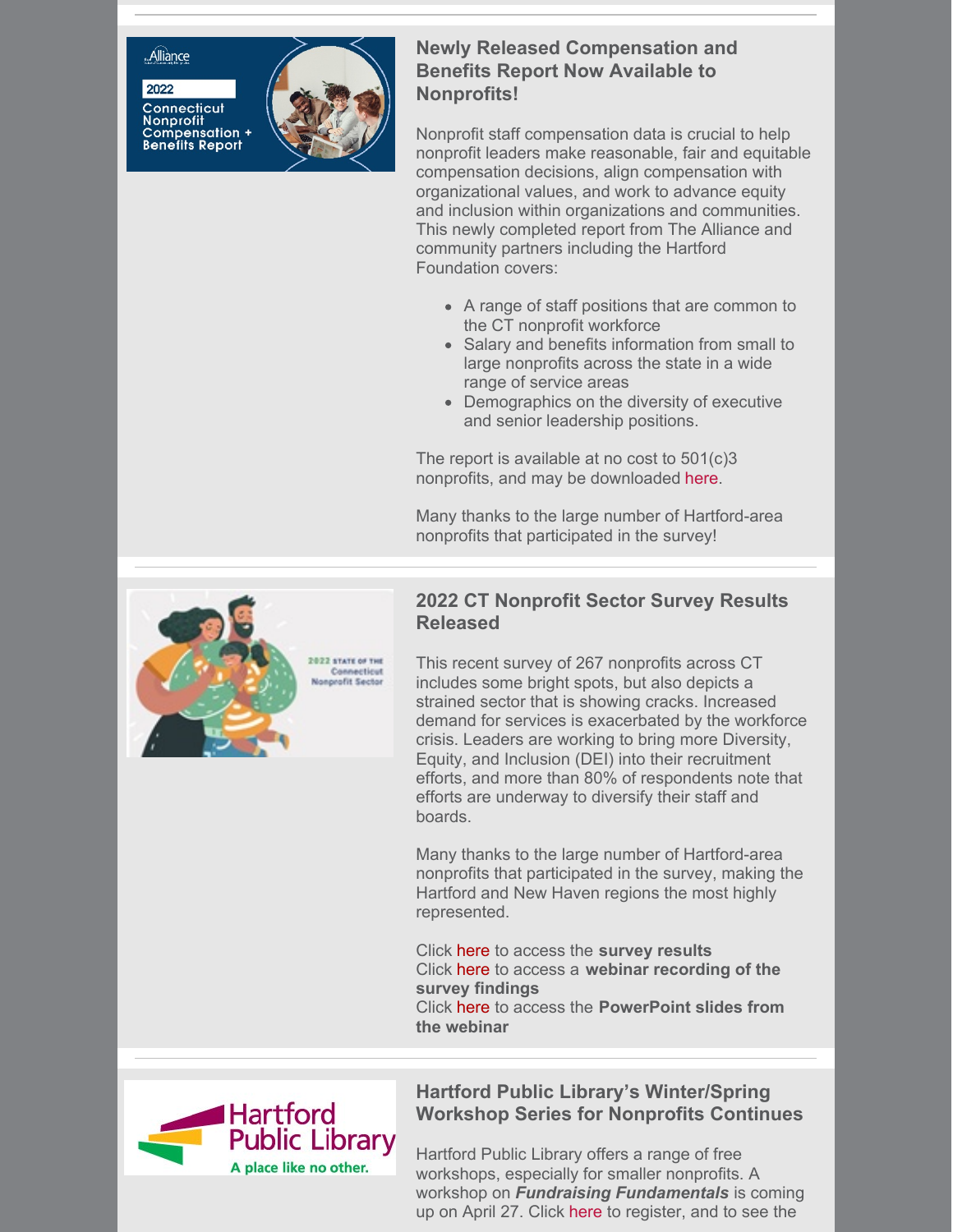#### <u>"Álliànce</u>

2022 Connecticut **Commectical**<br>Nonprofit<br>Compensation +<br>Benefits Report



#### **Newly Released Compensation and Benefits Report Now Available to Nonprofits!**

Nonprofit staff compensation data is crucial to help nonprofit leaders make reasonable, fair and equitable compensation decisions, align compensation with organizational values, and work to advance equity and inclusion within organizations and communities. This newly completed report from The Alliance and community partners including the Hartford Foundation covers:

- A range of staff positions that are common to the CT nonprofit workforce
- Salary and benefits information from small to large nonprofits across the state in a wide range of service areas
- Demographics on the diversity of executive and senior leadership positions.

The report is available at no cost to 501(c)3 nonprofits, and may be downloaded [here](https://ctnonprofitalliance.org/connecticut-nonprofit-compensation-survey/?utm_source=CFGNH+Connect&utm_campaign=c57d3ec5a7-NPOworkshopsJuly2020_reminder03_COPY_01&utm_medium=email&utm_term=0_2e303e6d47-c57d3ec5a7-123560911).

Many thanks to the large number of Hartford-area nonprofits that participated in the survey!



#### **2022 CT Nonprofit Sector Survey Results Released**

This recent survey of 267 nonprofits across CT includes some bright spots, but also depicts a strained sector that is showing cracks. Increased demand for services is exacerbated by the workforce crisis. Leaders are working to bring more Diversity, Equity, and Inclusion (DEI) into their recruitment efforts, and more than 80% of respondents note that efforts are underway to diversify their staff and boards.

Many thanks to the large number of Hartford-area nonprofits that participated in the survey, making the Hartford and New Haven regions the most highly represented.

Clic[k](https://fiopartners.com/images/uploads/CT-SOS-2022Report.pdf) [here](https://fiopartners.com/images/uploads/CT-SOS-2022Report.pdf) to access the **survey results** Click [here](https://www.youtube.com/watch?v=-_hkx300qHE) to access a **webinar recording of the survey fi[n](https://fiopartners.com/images/uploads/2022CTSOS_Webinar.pdf)dings** Click [here](https://fiopartners.com/images/uploads/2022CTSOS_Webinar.pdf) to access the **PowerPoint slides from the webinar**



#### **Hartford Public Library's Winter/Spring Workshop Series for Nonprofits Continues**

Hartford Public Library offers a range of free workshops, especially for smaller nonprofits. A workshop on *Fundraising Fundamentals* is coming up on April 27. Click [here](https://www.hplct.org/library-services/nonprofits/workshops) to register, and to see the